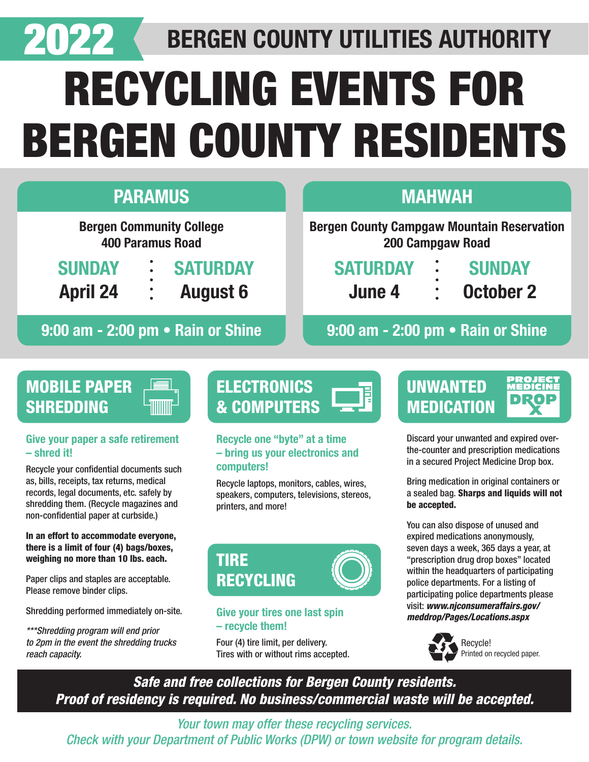

# BERGEN COUNTY UTILITIES AUTHORITY

# RECYCLING EVENTS FOR BERGEN COUNTY RESIDENTS

| <b>PARAMUS</b>                                                                                   | <b>MAHWAH</b>                                                                      |
|--------------------------------------------------------------------------------------------------|------------------------------------------------------------------------------------|
| <b>Bergen Community College</b><br><b>400 Paramus Road</b>                                       | <b>Bergen County Campgaw Mountain Reservation</b><br>200 Campgaw Road              |
| <b>SATURDAY</b><br><b>SUNDAY</b><br>$\bullet$<br><b>August 6</b><br><b>April 24</b><br>$\bullet$ | <b>SATURDAY</b><br><b>SUNDAY</b><br>$\ddot{\bullet}$<br><b>October 2</b><br>June 4 |
| 9:00 am - 2:00 pm • Rain or Shine                                                                | 9:00 am - 2:00 pm . Rain or Shine                                                  |

# MOBILE PAPER **SHREDDING**

#### Give your paper a safe retirement – shred it!

Recycle your confidential documents such as, bills, receipts, tax returns, medical records, legal documents, etc. safely by shredding them. (Recycle magazines and non-confidential paper at curbside.)

#### In an effort to accommodate everyone, there is a limit of four (4) bags/boxes, weighing no more than 10 lbs. each.

Paper clips and staples are acceptable. Please remove binder clips.

Shredding performed immediately on-site.

*\*\*\*Shredding program will end prior to 2pm in the event the shredding trucks reach capacity.*

# **ELECTRONICS** & COMPUTERS

#### Recycle one "byte" at a time – bring us your electronics and computers!

Recycle laptops, monitors, cables, wires, speakers, computers, televisions, stereos, printers, and more!



#### Give your tires one last spin – recycle them!

Four (4) tire limit, per delivery. Tires with or without rims accepted.



PROJEC

the-counter and prescription medications in a secured Project Medicine Drop box.

Bring medication in original containers or a sealed bag. Sharps and liquids will not be accepted.

You can also dispose of unused and expired medications anonymously, seven days a week, 365 days a year, at "prescription drug drop boxes" located within the headquarters of participating police departments. For a listing of participating police departments please visit: *www.njconsumeraffairs.gov/ meddrop/Pages/Locations.aspx*



*Safe and free collections for Bergen County residents. Proof of residency is required. No business/commercial waste will be accepted.*

*Your town may offer these recycling services. Check with your Department of Public Works (DPW) or town website for program details.*